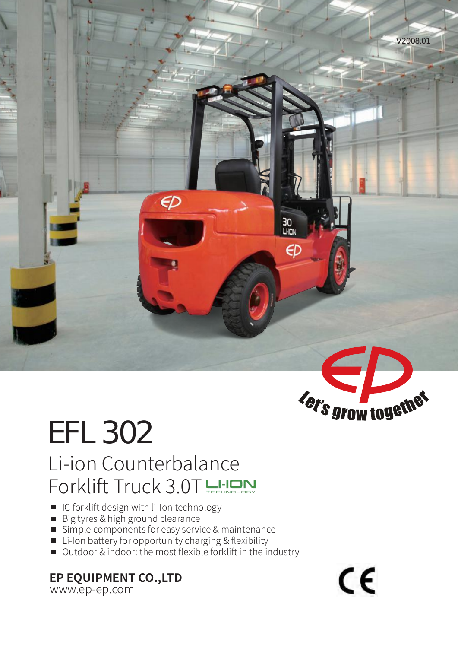

# EFL 302 Li-ion Counterbalance Forklift Truck 3.0T

- IC forklift design with li-Ion technology
- Big tyres & high ground clearance
- Simple components for easy service & maintenance
- Li-Ion battery for opportunity charging & flexibility
- Outdoor & indoor: the most flexible forklift in the industry

### **EP EQUIPMENT CO.,LTD**

www.ep-ep.com

 $\epsilon$ 

Fer's grow together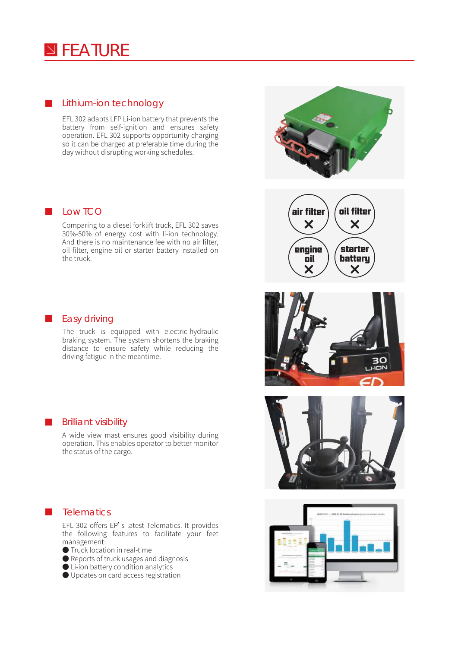### **N**FEATURE

#### **Lithium-ion technology**

EFL 302 adapts LFP Li-ion battery that prevents the battery from self-ignition and ensures safety operation. EFL 302 supports opportunity charging so it can be charged at preferable time during the day without disrupting working schedules.

#### **L** Low TCO

Comparing to a diesel forklift truck, EFL 302 saves 30%-50% of energy cost with li-ion technology. And there is no maintenance fee with no air filter, oil filter, engine oil or starter battery installed on the truck.



#### **Easy driving**

The truck is equipped with electric-hydraulic braking system. The system shortens the braking distance to ensure safety while reducing the driving fatigue in the meantime.

#### **Brilliant visibility**

A wide view mast ensures good visibility during operation. This enables operator to better monitor the status of the cargo.



#### **Telematics**

EFL 302 offers EP's latest Telematics. It provides the following features to facilitate your feet management:

- Truck location in real-time
- Reports of truck usages and diagnosis
- Li-ion battery condition analytics
- Updates on card access registration

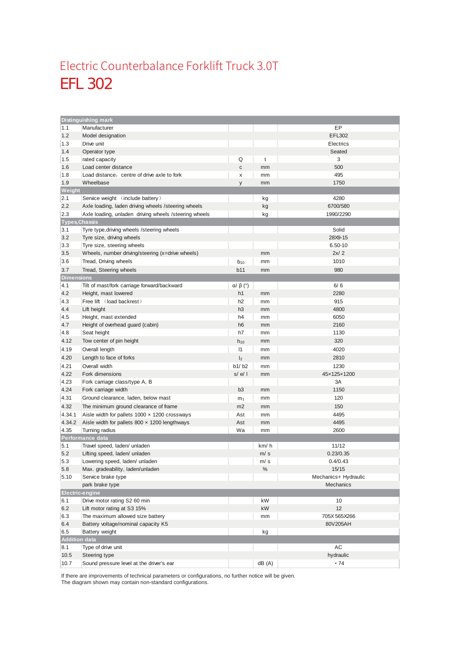### EFL 302 Electric Counterbalance Forklift Truck 3.0T

| <b>Distinguishing mark</b> |                                                       |                        |          |                      |  |  |  |
|----------------------------|-------------------------------------------------------|------------------------|----------|----------------------|--|--|--|
| 1.1                        | Manufacturer                                          |                        |          | EР                   |  |  |  |
| 1.2                        | Model designation                                     |                        |          | EFL302               |  |  |  |
| 1.3                        | Drive unit                                            |                        |          | Electrics            |  |  |  |
| 1.4                        | Operator type                                         |                        |          | Seated               |  |  |  |
| 1.5                        | rated capacity                                        | Q                      | t        | 3                    |  |  |  |
| 1.6                        | Load center distance                                  | с                      | mm       | 500                  |  |  |  |
| 1.8                        | Load distance, centre of drive axle to fork           | x                      | mm       | 495                  |  |  |  |
| 1.9                        | Wheelbase                                             | y                      | mm       | 1750                 |  |  |  |
| Weight                     |                                                       |                        |          |                      |  |  |  |
| 2.1                        | Service weight (include battery)                      |                        | kg       | 4280                 |  |  |  |
| 2.2                        | Axle loading, laden driving wheels / steering wheels  |                        | kg       | 6700/580             |  |  |  |
| 2.3                        | Axle loading, unladen driving wheels /steering wheels |                        | kg       | 1990/2290            |  |  |  |
| <b>Types, Chassis</b>      |                                                       |                        |          |                      |  |  |  |
| 3.1                        | Tyre type, driving wheels / steering wheels           |                        |          | Solid                |  |  |  |
| 3.2                        | Tyre size, driving wheels                             |                        |          | 28X9-15              |  |  |  |
| 3.3                        | Tyre size, steering wheels                            |                        |          | $6.50 - 10$          |  |  |  |
| 3.5                        | Wheels, number driving/steering (x=drive wheels)      |                        | mm       | 2x/2                 |  |  |  |
| 3.6                        | Tread, Driving wheels                                 | $b_{10}$               | mm       | 1010                 |  |  |  |
| 3.7                        | Tread, Steering wheels                                | b11                    | mm       | 980                  |  |  |  |
| <b>Dimensions</b>          |                                                       |                        |          |                      |  |  |  |
| 4.1                        | Tilt of mast/fork carriage forward/backward           | $\alpha$ / $\beta$ (°) |          | 6/6                  |  |  |  |
| 4.2                        | Height, mast lowered                                  | h1                     | mm       | 2280                 |  |  |  |
| 4.3                        | Free lift (load backrest)                             | h2                     | mm       | 915                  |  |  |  |
| 4.4                        | Lift height                                           | h <sub>3</sub>         | mm       | 4800                 |  |  |  |
| 4.5                        | Height, mast extended                                 | h4                     | mm       | 6050                 |  |  |  |
| 4.7                        | Height of overhead guard (cabin)                      | h <sub>6</sub>         | mm       | 2160                 |  |  |  |
| 4.8                        | Seat height                                           | h7                     | mm       | 1130                 |  |  |  |
| 4.12                       | Tow center of pin height                              | $h_{10}$               | mm       | 320                  |  |  |  |
| 4.19                       | Overall length                                        | $\mathsf{I}$           | mm       | 4020                 |  |  |  |
| 4.20                       | Length to face of forks                               | $\mathsf{I}_2$         | mm       | 2810                 |  |  |  |
| 4.21                       | Overall width                                         | b1/b2                  | mm       | 1230                 |  |  |  |
| 4.22                       | Fork dimensions                                       | s/el                   | mm       | 45×125×1200          |  |  |  |
| 4.23                       | Fork carriage class/type A, B                         |                        |          | 3A                   |  |  |  |
| 4.24                       | Fork carriage width                                   | b <sub>3</sub>         | mm       | 1150                 |  |  |  |
| 4.31                       | Ground clearance, laden, below mast                   |                        | mm       | 120                  |  |  |  |
| 4.32                       |                                                       | m <sub>1</sub><br>m2   |          | 150                  |  |  |  |
| 4.34.1                     | The minimum ground clearance of frame                 | Ast                    | mm       | 4495                 |  |  |  |
|                            | Aisle width for pallets 1000 x 1200 crossways         |                        | mm       |                      |  |  |  |
| 4.34.2                     | Aisle width for pallets $800 \times 1200$ lengthways  | Ast<br>Wa              | mm       | 4495                 |  |  |  |
| 4.35                       | Turning radius                                        |                        | mm       | 2600                 |  |  |  |
| 5.1                        | Performance data<br>Travel speed, laden/ unladen      |                        | km/h     | 11/12                |  |  |  |
| 5.2                        | Lifting speed, laden/ unladen                         |                        | m/s      | 0.23/0.35            |  |  |  |
| 5.3                        | Lowering speed, laden/ unladen                        |                        |          | 0.4/0.43             |  |  |  |
| 5.8                        | Max. gradeability, laden/unladen                      |                        | m/s<br>% | 15/15                |  |  |  |
| 5.10                       | Service brake type                                    |                        |          | Mechanics+ Hydraulic |  |  |  |
|                            | park brake type                                       |                        |          | <b>Mechanics</b>     |  |  |  |
|                            | <b>Electric-engine</b>                                |                        |          |                      |  |  |  |
| 6.1                        | Drive motor rating S2 60 min                          |                        | kW       | 10                   |  |  |  |
| 6.2                        | Lift motor rating at S3 15%                           |                        | kW       | 12                   |  |  |  |
| 6.3                        | The maximum allowed size battery                      |                        | mm       | 705X 565X266         |  |  |  |
| 6.4                        | Battery voltage/nominal capacity K5                   |                        |          | 80V205AH             |  |  |  |
| 6.5                        | Battery weight                                        |                        | kg       |                      |  |  |  |
| <b>Addition data</b>       |                                                       |                        |          |                      |  |  |  |
| 8.1                        | Type of drive unit                                    |                        |          | AC                   |  |  |  |
| 10.5                       | Steering type                                         |                        |          | hydraulic            |  |  |  |
| 10.7                       | Sound pressure level at the driver's ear              |                        | dB(A)    | $\cdot 74$           |  |  |  |
|                            |                                                       |                        |          |                      |  |  |  |

If there are improvements of technical parameters or configurations, no further notice will be given.

The diagram shown may contain non-standard configurations.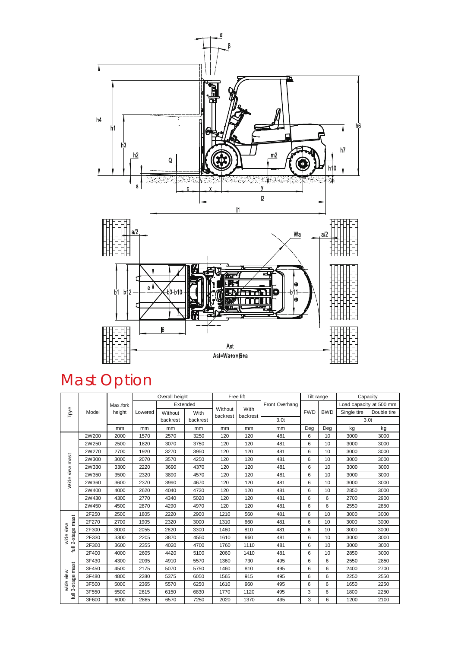

# Mast Option

|                                | Model | Max.fork<br>height | Overall height |          | Free lift |                     |                  | Tilt range       |            | Capacity        |                         |             |
|--------------------------------|-------|--------------------|----------------|----------|-----------|---------------------|------------------|------------------|------------|-----------------|-------------------------|-------------|
| Tpye                           |       |                    |                | Extended |           |                     |                  | Front Overhang   |            |                 | Load capacity at 500 mm |             |
|                                |       |                    | Lowered        | Without  | With      | Without<br>backrest | With<br>backrest |                  | <b>FWD</b> | <b>BWD</b>      | Single tire             | Double tire |
|                                |       |                    |                | backrest | backrest  |                     |                  | 3.0 <sub>t</sub> |            |                 | 3.0 <sub>t</sub>        |             |
|                                |       | mm                 | mm             | mm       | mm        | mm                  | mm               | mm               | Deg        | Deg             | kg                      | kg          |
| Wide view mast                 | 2W200 | 2000               | 1570           | 2570     | 3250      | 120                 | 120              | 481              | 6          | 10              | 3000                    | 3000        |
|                                | 2W250 | 2500               | 1820           | 3070     | 3750      | 120                 | 120              | 481              | 6          | 10              | 3000                    | 3000        |
|                                | 2W270 | 2700               | 1920           | 3270     | 3950      | 120                 | 120              | 481              | 6          | 10              | 3000                    | 3000        |
|                                | 2W300 | 3000               | 2070           | 3570     | 4250      | 120                 | 120              | 481              | 6          | 10              | 3000                    | 3000        |
|                                | 2W330 | 3300               | 2220           | 3690     | 4370      | 120                 | 120              | 481              | 6          | 10 <sup>1</sup> | 3000                    | 3000        |
|                                | 2W350 | 3500               | 2320           | 3890     | 4570      | 120                 | 120              | 481              | 6          | 10              | 3000                    | 3000        |
|                                | 2W360 | 3600               | 2370           | 3990     | 4670      | 120                 | 120              | 481              | 6          | 10              | 3000                    | 3000        |
|                                | 2W400 | 4000               | 2620           | 4040     | 4720      | 120                 | 120              | 481              | 6          | 10              | 2850                    | 3000        |
|                                | 2W430 | 4300               | 2770           | 4340     | 5020      | 120                 | 120              | 481              | 6          | 6               | 2700                    | 2900        |
|                                | 2W450 | 4500               | 2870           | 4290     | 4970      | 120                 | 120              | 481              | 6          | 6               | 2550                    | 2850        |
| 2-stage mast<br>wide view<br>J | 2F250 | 2500               | 1805           | 2220     | 2900      | 1210                | 560              | 481              | 6          | 10              | 3000                    | 3000        |
|                                | 2F270 | 2700               | 1905           | 2320     | 3000      | 1310                | 660              | 481              | 6          | 10              | 3000                    | 3000        |
|                                | 2F300 | 3000               | 2055           | 2620     | 3300      | 1460                | 810              | 481              | 6          | 10              | 3000                    | 3000        |
|                                | 2F330 | 3300               | 2205           | 3870     | 4550      | 1610                | 960              | 481              | 6          | 10              | 3000                    | 3000        |
|                                | 2F360 | 3600               | 2355           | 4020     | 4700      | 1760                | 1110             | 481              | 6          | 10              | 3000                    | 3000        |
|                                | 2F400 | 4000               | 2605           | 4420     | 5100      | 2060                | 1410             | 481              | 6          | 10              | 2850                    | 3000        |
| 3-stage mast<br>wide view<br>ã | 3F430 | 4300               | 2095           | 4910     | 5570      | 1360                | 730              | 495              | 6          | 6               | 2550                    | 2850        |
|                                | 3F450 | 4500               | 2175           | 5070     | 5750      | 1460                | 810              | 495              | 6          | 6               | 2400                    | 2700        |
|                                | 3F480 | 4800               | 2280           | 5375     | 6050      | 1565                | 915              | 495              | 6          | 6               | 2250                    | 2550        |
|                                | 3F500 | 5000               | 2365           | 5570     | 6250      | 1610                | 960              | 495              | 6          | 6               | 1650                    | 2250        |
|                                | 3F550 | 5500               | 2615           | 6150     | 6830      | 1770                | 1120             | 495              | 3          | 6               | 1800                    | 2250        |
|                                | 3F600 | 6000               | 2865           | 6570     | 7250      | 2020                | 1370             | 495              | 3          | 6               | 1200                    | 2100        |